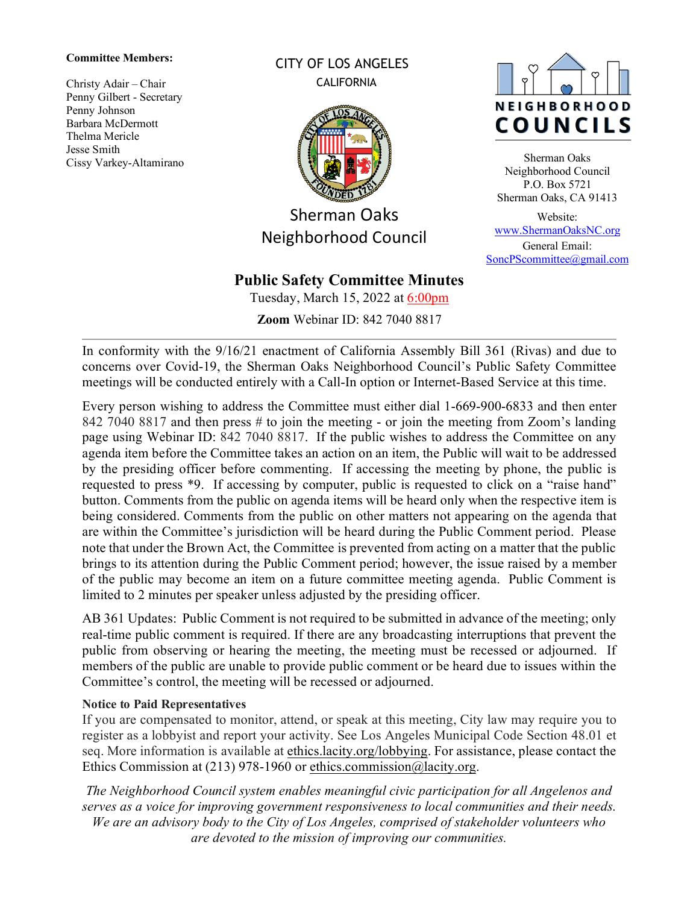#### **Committee Members:**

Christy Adair – Chair Penny Gilbert - Secretary Penny Johnson Barbara McDermott Thelma Mericle Jesse Smith Cissy Varkey-Altamirano CITY OF LOS ANGELES **CALIFORNIA** 



Sherman Oaks Neighborhood Council

# **Public Safety Committee Minutes**

Tuesday, March 15, 2022 at 6:00pm

**Zoom** Webinar ID: 842 7040 8817



Sherman Oaks Neighborhood Council P.O. Box 5721 Sherman Oaks, CA 91413

Website: [www.ShermanOaksNC.org](http://www.shermanoaksnc.org/) General Email: [SoncPScommittee@gmail.com](mailto:SoncPScommittee@gmail.com)

In conformity with the 9/16/21 enactment of California Assembly Bill 361 (Rivas) and due to concerns over Covid-19, the Sherman Oaks Neighborhood Council's Public Safety Committee meetings will be conducted entirely with a Call-In option or Internet-Based Service at this time.

Every person wishing to address the Committee must either dial 1-669-900-6833 and then enter 842 7040 8817 and then press # to join the meeting - or join the meeting from Zoom's landing page using Webinar ID: 842 7040 8817. If the public wishes to address the Committee on any agenda item before the Committee takes an action on an item, the Public will wait to be addressed by the presiding officer before commenting. If accessing the meeting by phone, the public is requested to press \*9. If accessing by computer, public is requested to click on a "raise hand" button. Comments from the public on agenda items will be heard only when the respective item is being considered. Comments from the public on other matters not appearing on the agenda that are within the Committee's jurisdiction will be heard during the Public Comment period. Please note that under the Brown Act, the Committee is prevented from acting on a matter that the public brings to its attention during the Public Comment period; however, the issue raised by a member of the public may become an item on a future committee meeting agenda. Public Comment is limited to 2 minutes per speaker unless adjusted by the presiding officer.

AB 361 Updates: Public Comment is not required to be submitted in advance of the meeting; only real-time public comment is required. If there are any broadcasting interruptions that prevent the public from observing or hearing the meeting, the meeting must be recessed or adjourned. If members of the public are unable to provide public comment or be heard due to issues within the Committee's control, the meeting will be recessed or adjourned.

#### **Notice to Paid Representatives**

If you are compensated to monitor, attend, or speak at this meeting, City law may require you to register as a lobbyist and report your activity. See Los Angeles Municipal Code Section 48.01 et seq. More information is available at [ethics.lacity.org/lobbying.](http://ethics.lacity.org/lobbying) For assistance, please contact the Ethics Commission at (213) 978-1960 or [ethics.commission@lacity.org.](mailto:ethics.commission@lacity.org)

*The Neighborhood Council system enables meaningful civic participation for all Angelenos and serves as a voice for improving government responsiveness to local communities and their needs. We are an advisory body to the City of Los Angeles, comprised of stakeholder volunteers who are devoted to the mission of improving our communities.*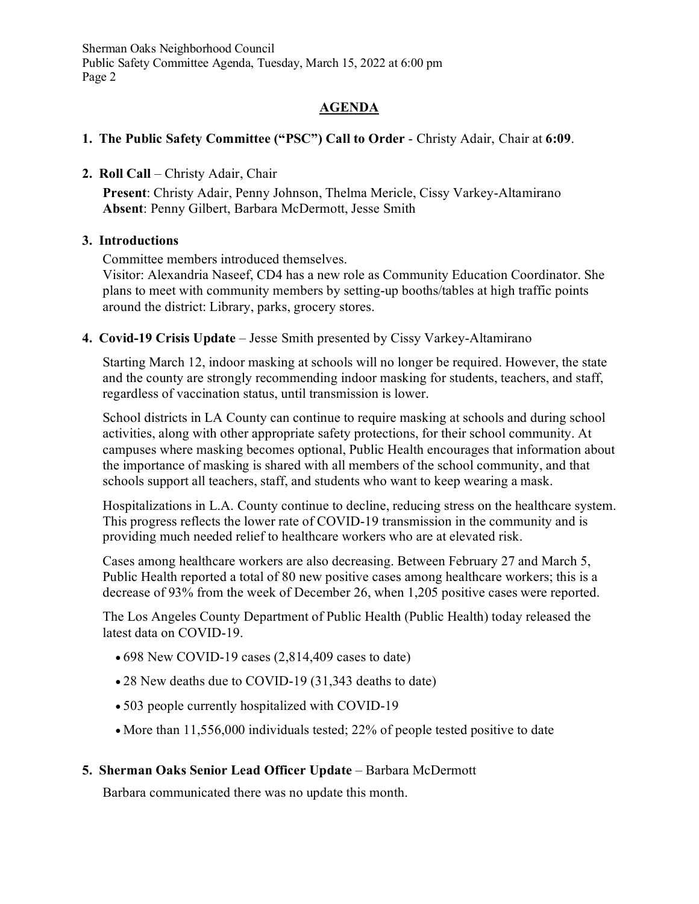# **AGENDA**

# **1. The Public Safety Committee ("PSC") Call to Order** - Christy Adair, Chair at **6:09**.

# **2. Roll Call** – Christy Adair, Chair

**Present**: Christy Adair, Penny Johnson, Thelma Mericle, Cissy Varkey-Altamirano **Absent**: Penny Gilbert, Barbara McDermott, Jesse Smith

# **3. Introductions**

Committee members introduced themselves.

Visitor: Alexandria Naseef, CD4 has a new role as Community Education Coordinator. She plans to meet with community members by setting-up booths/tables at high traffic points around the district: Library, parks, grocery stores.

**4. Covid-19 Crisis Update** – Jesse Smith presented by Cissy Varkey-Altamirano

Starting March 12, indoor masking at schools will no longer be required. However, the state and the county are strongly recommending indoor masking for students, teachers, and staff, regardless of vaccination status, until transmission is lower.

School districts in LA County can continue to require masking at schools and during school activities, along with other appropriate safety protections, for their school community. At campuses where masking becomes optional, Public Health encourages that information about the importance of masking is shared with all members of the school community, and that schools support all teachers, staff, and students who want to keep wearing a mask.

Hospitalizations in L.A. County continue to decline, reducing stress on the healthcare system. This progress reflects the lower rate of COVID-19 transmission in the community and is providing much needed relief to healthcare workers who are at elevated risk.

Cases among healthcare workers are also decreasing. Between February 27 and March 5, Public Health reported a total of 80 new positive cases among healthcare workers; this is a decrease of 93% from the week of December 26, when 1,205 positive cases were reported.

The Los Angeles County Department of Public Health (Public Health) today released the latest data on COVID-19.

- 698 New COVID-19 cases (2,814,409 cases to date)
- 28 New deaths due to COVID-19 (31,343 deaths to date)
- 503 people currently hospitalized with COVID-19
- More than 11,556,000 individuals tested; 22% of people tested positive to date

# **5. Sherman Oaks Senior Lead Officer Update** – Barbara McDermott

Barbara communicated there was no update this month.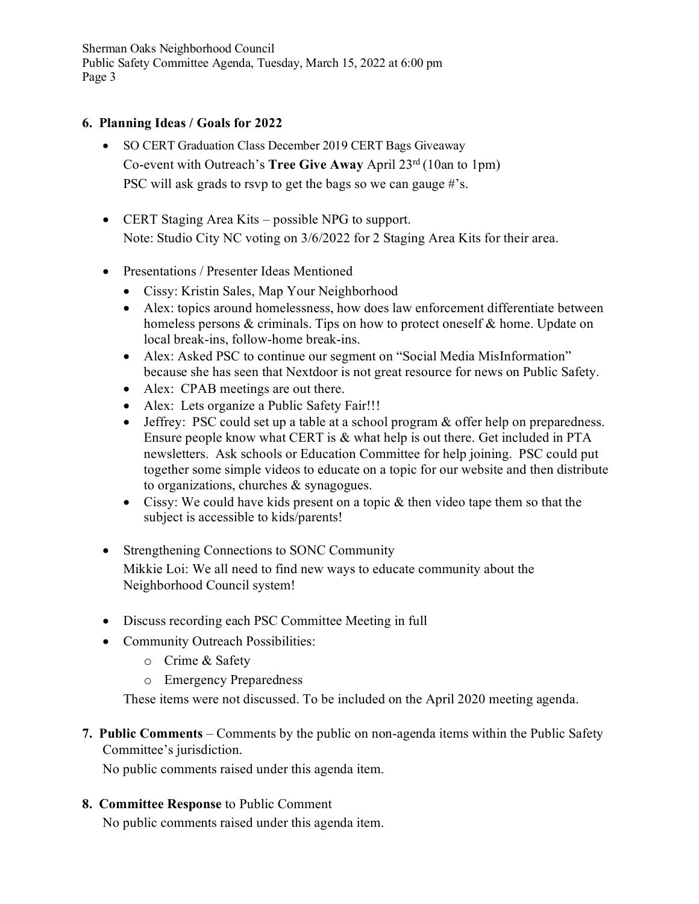### **6. Planning Ideas / Goals for 2022**

- SO CERT Graduation Class December 2019 CERT Bags Giveaway Co-event with Outreach's **Tree Give Away** April 23rd (10an to 1pm) PSC will ask grads to rsvp to get the bags so we can gauge #'s.
- CERT Staging Area Kits possible NPG to support. Note: Studio City NC voting on 3/6/2022 for 2 Staging Area Kits for their area.
- Presentations / Presenter Ideas Mentioned
	- Cissy: Kristin Sales, Map Your Neighborhood
	- Alex: topics around homelessness, how does law enforcement differentiate between homeless persons & criminals. Tips on how to protect oneself & home. Update on local break-ins, follow-home break-ins.
	- Alex: Asked PSC to continue our segment on "Social Media MisInformation" because she has seen that Nextdoor is not great resource for news on Public Safety.
	- Alex: CPAB meetings are out there.
	- Alex: Lets organize a Public Safety Fair!!!
	- Jeffrey: PSC could set up a table at a school program & offer help on preparedness. Ensure people know what CERT is & what help is out there. Get included in PTA newsletters. Ask schools or Education Committee for help joining. PSC could put together some simple videos to educate on a topic for our website and then distribute to organizations, churches & synagogues.
	- Cissy: We could have kids present on a topic & then video tape them so that the subject is accessible to kids/parents!
- Strengthening Connections to SONC Community Mikkie Loi: We all need to find new ways to educate community about the Neighborhood Council system!
- Discuss recording each PSC Committee Meeting in full
- Community Outreach Possibilities:
	- o Crime & Safety
	- o Emergency Preparedness

These items were not discussed. To be included on the April 2020 meeting agenda.

# **7. Public Comments** – Comments by the public on non-agenda items within the Public Safety Committee's jurisdiction.

No public comments raised under this agenda item.

#### **8. Committee Response** to Public Comment

No public comments raised under this agenda item.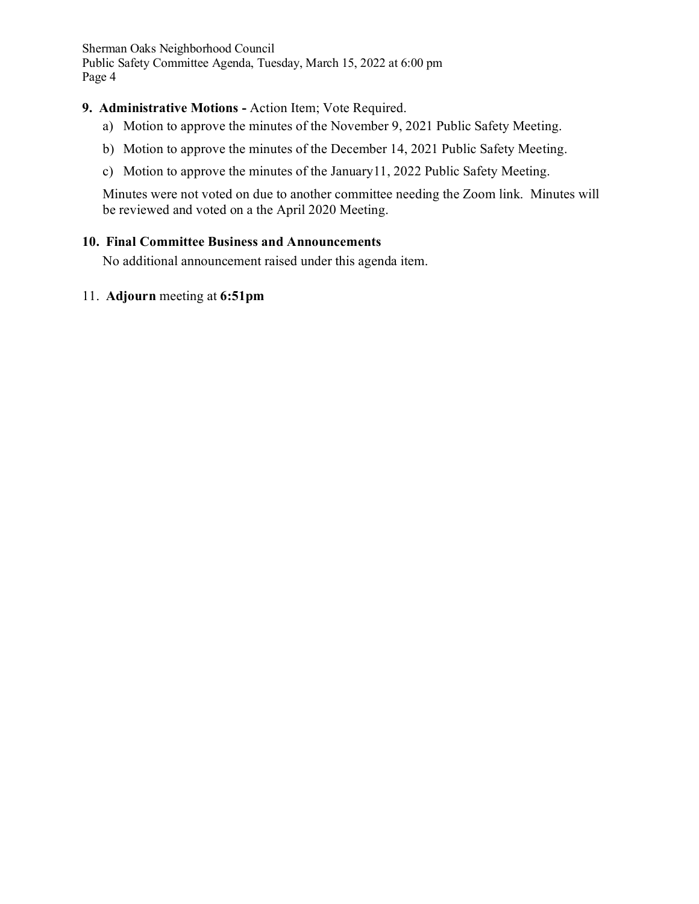### **9. Administrative Motions -** Action Item; Vote Required.

- a) Motion to approve the minutes of the November 9, 2021 Public Safety Meeting.
- b) Motion to approve the minutes of the December 14, 2021 Public Safety Meeting.
- c) Motion to approve the minutes of the January11, 2022 Public Safety Meeting.

Minutes were not voted on due to another committee needing the Zoom link. Minutes will be reviewed and voted on a the April 2020 Meeting.

#### **10. Final Committee Business and Announcements**

No additional announcement raised under this agenda item.

#### 11. **Adjourn** meeting at **6:51pm**